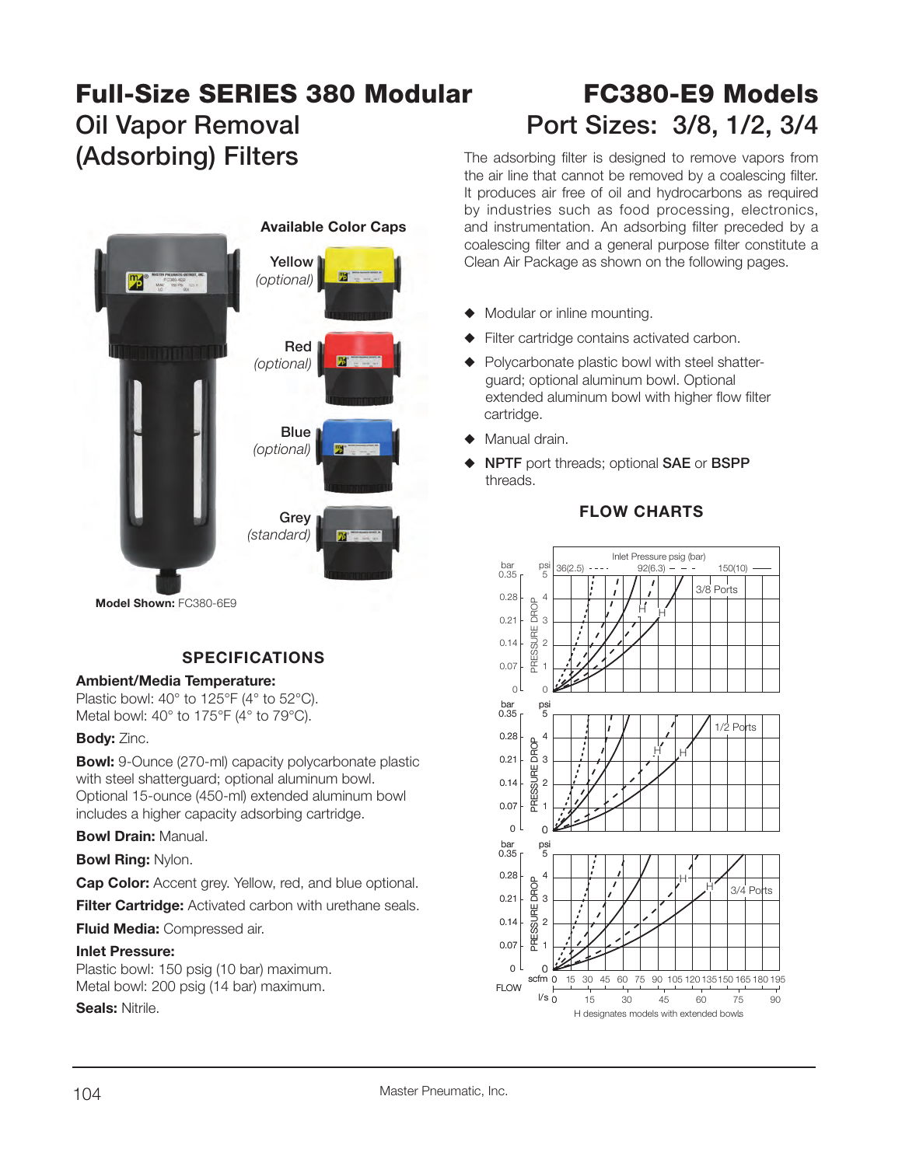# **Full-Size SERIES 380 Modular FC380-E9 Models**Oil Vapor Removal **Port Sizes: 3/8, 1/2, 3/4 (Adsorbing) Filters** The adsorbing filter is designed to remove vapors from the air line that cannot be removed by a coalescing filter.



#### **Model Shown:** FC380-6E9

## **SPECIFICATIONS**

#### **Ambient/Media Temperature:**

Plastic bowl: 40° to 125°F (4° to 52°C). Metal bowl: 40° to 175°F (4° to 79°C).

### **Body:** Zinc.

**Bowl:** 9-Ounce (270-ml) capacity polycarbonate plastic with steel shatterguard; optional aluminum bowl. Optional 15-ounce (450-ml) extended aluminum bowl includes a higher capacity adsorbing cartridge.

**Bowl Drain:** Manual.

**Bowl Ring:** Nylon.

**Cap Color:** Accent grey. Yellow, red, and blue optional.

**Filter Cartridge:** Activated carbon with urethane seals.

**Fluid Media: Compressed air.** 

### **Inlet Pressure:**

Plastic bowl: 150 psig (10 bar) maximum. Metal bowl: 200 psig (14 bar) maximum.

**Seals:** Nitrile.

It produces air free of oil and hydrocarbons as required by industries such as food processing, electronics, and instrumentation. An adsorbing filter preceded by a coalescing filter and a general purpose filter constitute a Clean Air Package as shown on the following pages.

- Modular or inline mounting.
- Filter cartridge contains activated carbon.
- $\blacklozenge$  Polycarbonate plastic bowl with steel shatter guard; optional aluminum bowl. Optional extended aluminum bowl with higher flow filter cartridge.
- Manual drain.
- S **NPTF** port threads; optional **SAE** or **BSPP**  threads.